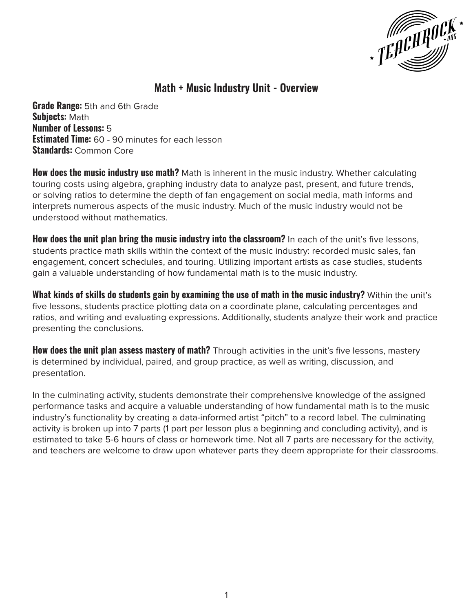

# **Math + Music Industry Unit - Overview**

**Grade Range:** 5th and 6th Grade **Subjects:** Math **Number of Lessons:** 5 **Estimated Time:** 60 - 90 minutes for each lesson **Standards:** Common Core

**How does the music industry use math?** Math is inherent in the music industry. Whether calculating touring costs using algebra, graphing industry data to analyze past, present, and future trends, or solving ratios to determine the depth of fan engagement on social media, math informs and interprets numerous aspects of the music industry. Much of the music industry would not be understood without mathematics.

**How does the unit plan bring the music industry into the classroom?** In each of the unit's five lessons, students practice math skills within the context of the music industry: recorded music sales, fan engagement, concert schedules, and touring. Utilizing important artists as case studies, students gain a valuable understanding of how fundamental math is to the music industry.

**What kinds of skills do students gain by examining the use of math in the music industry?** Within the unit's five lessons, students practice plotting data on a coordinate plane, calculating percentages and ratios, and writing and evaluating expressions. Additionally, students analyze their work and practice presenting the conclusions.

**How does the unit plan assess mastery of math?** Through activities in the unit's five lessons, mastery is determined by individual, paired, and group practice, as well as writing, discussion, and presentation.

In the culminating activity, students demonstrate their comprehensive knowledge of the assigned performance tasks and acquire a valuable understanding of how fundamental math is to the music industry's functionality by creating a data-informed artist "pitch" to a record label. The culminating activity is broken up into 7 parts (1 part per lesson plus a beginning and concluding activity), and is estimated to take 5-6 hours of class or homework time. Not all 7 parts are necessary for the activity, and teachers are welcome to draw upon whatever parts they deem appropriate for their classrooms.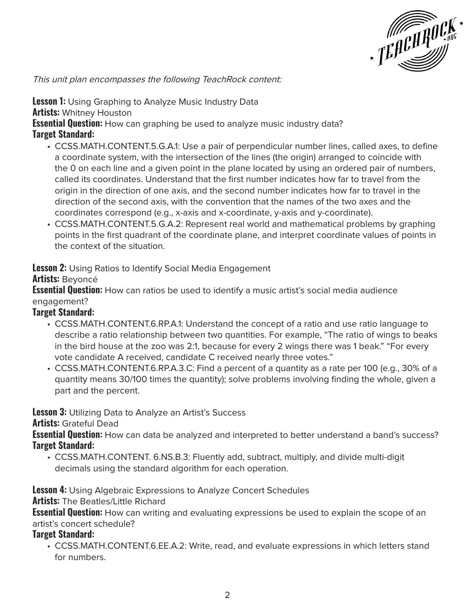

This unit plan encompasses the following TeachRock content:

**Lesson 1:** Using Graphing to Analyze Music Industry Data

**Artists:** Whitney Houston

**Essential Question:** How can graphing be used to analyze music industry data?

### **Target Standard:**

- CCSS.MATH.CONTENT.5.G.A.1: Use a pair of perpendicular number lines, called axes, to define a coordinate system, with the intersection of the lines (the origin) arranged to coincide with the 0 on each line and a given point in the plane located by using an ordered pair of numbers, called its coordinates. Understand that the first number indicates how far to travel from the origin in the direction of one axis, and the second number indicates how far to travel in the direction of the second axis, with the convention that the names of the two axes and the coordinates correspond (e.g., x-axis and x-coordinate, y-axis and y-coordinate).
- CCSS.MATH.CONTENT.5.G.A.2: Represent real world and mathematical problems by graphing points in the first quadrant of the coordinate plane, and interpret coordinate values of points in the context of the situation.

**Lesson 2:** Using Ratios to Identify Social Media Engagement

### **Artists:** Beyoncé

**Essential Question:** How can ratios be used to identify a music artist's social media audience engagement?

## **Target Standard:**

- CCSS.MATH.CONTENT.6.RP.A.1: Understand the concept of a ratio and use ratio language to describe a ratio relationship between two quantities. For example, "The ratio of wings to beaks in the bird house at the zoo was 2:1, because for every 2 wings there was 1 beak." "For every vote candidate A received, candidate C received nearly three votes."
- CCSS.MATH.CONTENT.6.RP.A.3.C: Find a percent of a quantity as a rate per 100 (e.g., 30% of a quantity means 30/100 times the quantity); solve problems involving finding the whole, given a part and the percent.

### **Lesson 3:** Utilizing Data to Analyze an Artist's Success

**Artists:** Grateful Dead

**Essential Question:** How can data be analyzed and interpreted to better understand a band's success? **Target Standard:** 

• CCSS.MATH.CONTENT. 6.NS.B.3: Fluently add, subtract, multiply, and divide multi-digit decimals using the standard algorithm for each operation.

**Lesson 4:** Using Algebraic Expressions to Analyze Concert Schedules

**Artists:** The Beatles/Little Richard

**Essential Question:** How can writing and evaluating expressions be used to explain the scope of an artist's concert schedule?

### **Target Standard:**

• CCSS.MATH.CONTENT.6.EE.A.2: Write, read, and evaluate expressions in which letters stand for numbers.